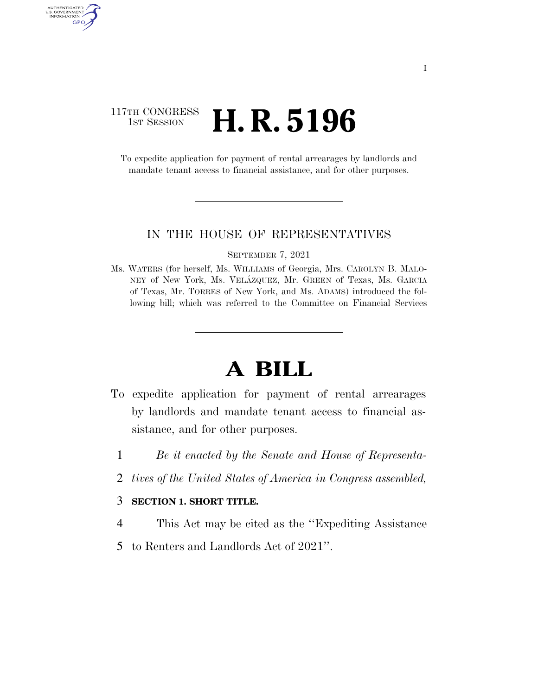## 117TH CONGRESS **1st Session H. R. 5196**

AUTHENTICATED<br>U.S. GOVERNMENT<br>INFORMATION GPO

> To expedite application for payment of rental arrearages by landlords and mandate tenant access to financial assistance, and for other purposes.

#### IN THE HOUSE OF REPRESENTATIVES

SEPTEMBER 7, 2021

Ms. WATERS (for herself, Ms. WILLIAMS of Georgia, Mrs. CAROLYN B. MALO-NEY of New York, Ms. VELA´ZQUEZ, Mr. GREEN of Texas, Ms. GARCIA of Texas, Mr. TORRES of New York, and Ms. ADAMS) introduced the following bill; which was referred to the Committee on Financial Services

# **A BILL**

- To expedite application for payment of rental arrearages by landlords and mandate tenant access to financial assistance, and for other purposes.
	- 1 *Be it enacted by the Senate and House of Representa-*
	- 2 *tives of the United States of America in Congress assembled,*

### 3 **SECTION 1. SHORT TITLE.**

- 4 This Act may be cited as the ''Expediting Assistance
- 5 to Renters and Landlords Act of 2021''.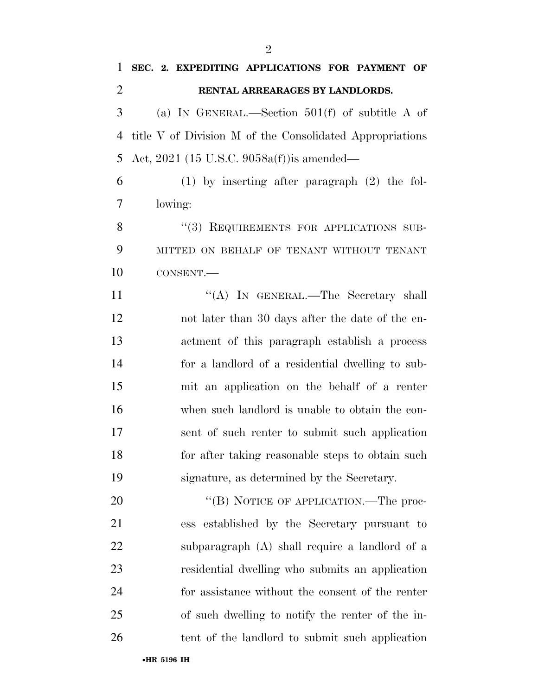**SEC. 2. EXPEDITING APPLICATIONS FOR PAYMENT OF** 

| $\overline{2}$ | RENTAL ARREARAGES BY LANDLORDS.                          |
|----------------|----------------------------------------------------------|
| 3              | (a) IN GENERAL.—Section $501(f)$ of subtitle A of        |
| 4              | title V of Division M of the Consolidated Appropriations |
| 5              | Act, 2021 (15 U.S.C. 9058a(f)) is amended—               |
| 6              | $(1)$ by inserting after paragraph $(2)$ the fol-        |
| 7              | lowing:                                                  |
| 8              | "(3) REQUIREMENTS FOR APPLICATIONS SUB-                  |
| 9              | MITTED ON BEHALF OF TENANT WITHOUT TENANT                |
| 10             | CONSENT.-                                                |
| 11             | "(A) IN GENERAL.—The Secretary shall                     |
| 12             | not later than 30 days after the date of the en-         |
| 13             | actment of this paragraph establish a process            |
| 14             | for a landlord of a residential dwelling to sub-         |
| 15             | mit an application on the behalf of a renter             |
| 16             | when such landlord is unable to obtain the con-          |
| 17             | sent of such renter to submit such application           |
| 18             | for after taking reasonable steps to obtain such         |
| 19             | signature, as determined by the Secretary.               |
| 20             | "(B) NOTICE OF APPLICATION.—The proc-                    |
| 21             | ess established by the Secretary pursuant to             |
| 22             | subparagraph (A) shall require a landlord of a           |
| 23             | residential dwelling who submits an application          |
| 24             | for assistance without the consent of the renter         |
| 25             | of such dwelling to notify the renter of the in-         |
| 26             | tent of the landlord to submit such application          |
|                | •HR 5196 IH                                              |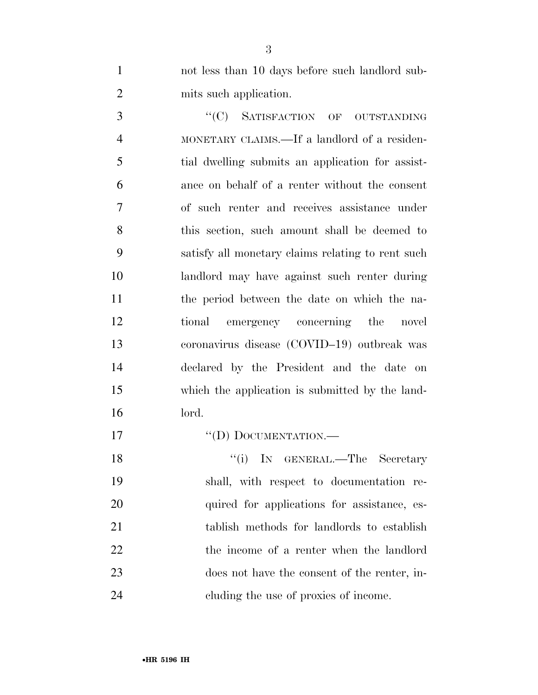not less than 10 days before such landlord sub-mits such application.

3 "'(C) SATISFACTION OF OUTSTANDING MONETARY CLAIMS.—If a landlord of a residen- tial dwelling submits an application for assist- ance on behalf of a renter without the consent of such renter and receives assistance under this section, such amount shall be deemed to satisfy all monetary claims relating to rent such landlord may have against such renter during the period between the date on which the na- tional emergency concerning the novel coronavirus disease (COVID–19) outbreak was declared by the President and the date on which the application is submitted by the land-lord.

''(D) DOCUMENTATION.—

18 ''(i) IN GENERAL.—The Secretary shall, with respect to documentation re-20 quired for applications for assistance, es- tablish methods for landlords to establish the income of a renter when the landlord does not have the consent of the renter, in-cluding the use of proxies of income.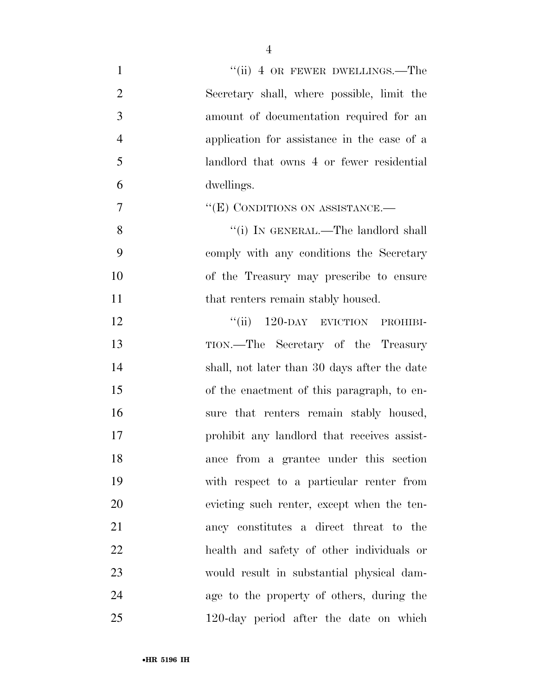| $\mathbf{1}$   | "(ii) 4 OR FEWER DWELLINGS.—The              |
|----------------|----------------------------------------------|
| $\overline{2}$ | Secretary shall, where possible, limit the   |
| 3              | amount of documentation required for an      |
| $\overline{4}$ | application for assistance in the case of a  |
| 5              | landlord that owns 4 or fewer residential    |
| 6              | dwellings.                                   |
| $\tau$         | " $(E)$ CONDITIONS ON ASSISTANCE.—           |
| 8              | "(i) IN GENERAL.—The landlord shall          |
| 9              | comply with any conditions the Secretary     |
| 10             | of the Treasury may prescribe to ensure      |
| 11             | that renters remain stably housed.           |
| 12             | 120-DAY EVICTION PROHIBI-<br>``(ii)          |
| 13             | TION.—The Secretary of the Treasury          |
| 14             | shall, not later than 30 days after the date |
| 15             | of the enactment of this paragraph, to en-   |
| 16             | sure that renters remain stably housed,      |
| 17             | prohibit any landlord that receives assist-  |
| 18             | ance from a grantee under this section       |
| 19             | with respect to a particular renter from     |
| 20             | evicting such renter, except when the ten-   |
| 21             | ancy constitutes a direct threat to the      |
| 22             | health and safety of other individuals or    |
| 23             | would result in substantial physical dam-    |
| 24             | age to the property of others, during the    |
| 25             | 120-day period after the date on which       |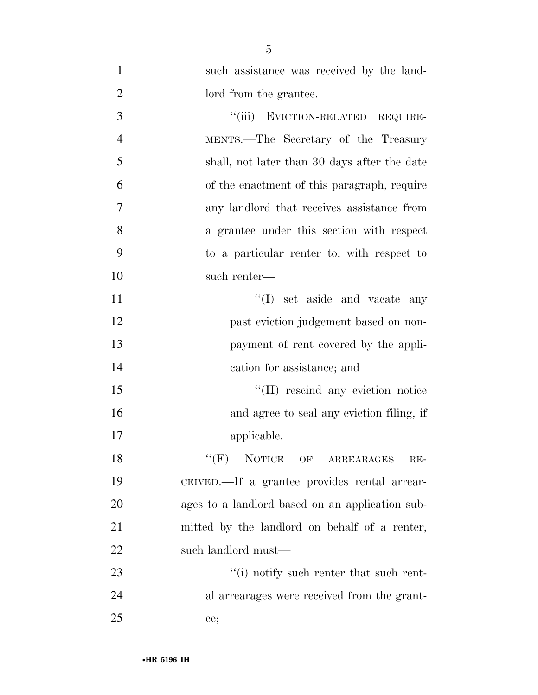| $\mathbf{1}$   | such assistance was received by the land-       |
|----------------|-------------------------------------------------|
| $\overline{2}$ | lord from the grantee.                          |
| 3              | ``(iii)<br>EVICTION-RELATED REQUIRE-            |
| $\overline{4}$ | MENTS.—The Secretary of the Treasury            |
| 5              | shall, not later than 30 days after the date    |
| 6              | of the enactment of this paragraph, require     |
| 7              | any landlord that receives assistance from      |
| 8              | a grantee under this section with respect       |
| 9              | to a particular renter to, with respect to      |
| 10             | such renter—                                    |
| 11             | $\lq\lq$ (I) set aside and vacate any           |
| 12             | past eviction judgement based on non-           |
| 13             | payment of rent covered by the appli-           |
| 14             | cation for assistance; and                      |
| 15             | "(II) rescind any eviction notice               |
| 16             | and agree to seal any eviction filing, if       |
| 17             | applicable.                                     |
| 18             | $``(F)$ NOTICE OF ARREARAGES<br>$RE-$           |
| 19             | CEIVED.—If a grantee provides rental arrear-    |
| 20             | ages to a landlord based on an application sub- |
| 21             | mitted by the landlord on behalf of a renter,   |
| 22             | such landlord must—                             |
| 23             | $\cdot$ (i) notify such renter that such rent-  |
| 24             | al arrearages were received from the grant-     |
| 25             | ee;                                             |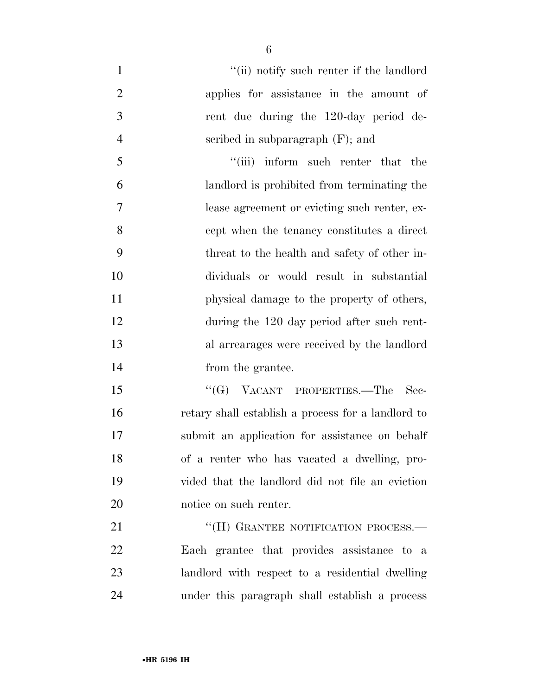| $\mathbf{1}$   | "(ii) notify such renter if the landlord           |
|----------------|----------------------------------------------------|
| $\overline{2}$ | applies for assistance in the amount of            |
| 3              | rent due during the 120-day period de-             |
| $\overline{4}$ | scribed in subparagraph $(F)$ ; and                |
| 5              | "(iii) inform such renter that the                 |
| 6              | landlord is prohibited from terminating the        |
| 7              | lease agreement or evicting such renter, ex-       |
| 8              | cept when the tenancy constitutes a direct         |
| 9              | threat to the health and safety of other in-       |
| 10             | dividuals or would result in substantial           |
| 11             | physical damage to the property of others,         |
| 12             | during the 120 day period after such rent-         |
| 13             | al arrearages were received by the landlord        |
| 14             | from the grantee.                                  |
| 15             | " $(G)$ VACANT PROPERTIES.—The<br>-Sec-            |
| 16             | retary shall establish a process for a landlord to |
| 17             | submit an application for assistance on behalf     |
| 18             | of a renter who has vacated a dwelling, pro-       |
| 19             | vided that the landlord did not file an eviction   |
| 20             | notice on such renter.                             |
| 21             | "(H) GRANTEE NOTIFICATION PROCESS.—                |
| 22             | Each grantee that provides assistance to a         |
| 23             | landlord with respect to a residential dwelling    |
| 24             | under this paragraph shall establish a process     |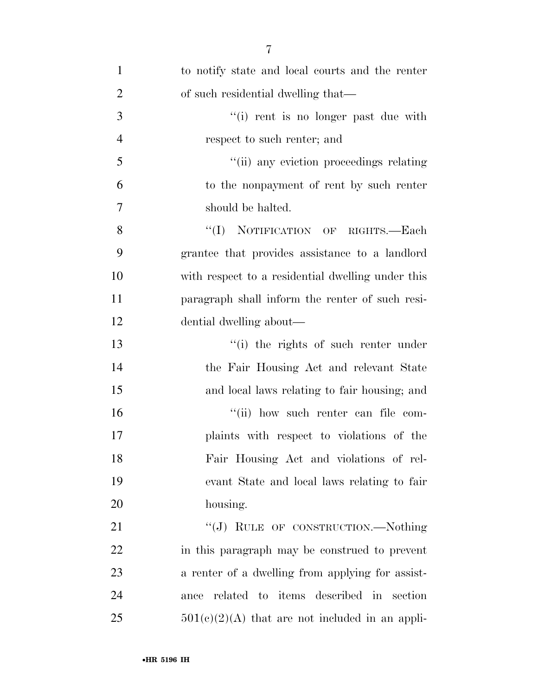| $\mathbf{1}$   | to notify state and local courts and the renter   |
|----------------|---------------------------------------------------|
| $\overline{2}$ | of such residential dwelling that—                |
| 3              | "(i) rent is no longer past due with              |
| $\overline{4}$ | respect to such renter; and                       |
| 5              | "(ii) any eviction proceedings relating           |
| 6              | to the nonpayment of rent by such renter          |
| $\overline{7}$ | should be halted.                                 |
| 8              | "(I) NOTIFICATION OF RIGHTS.—Each                 |
| 9              | grantee that provides assistance to a landlord    |
| 10             | with respect to a residential dwelling under this |
| 11             | paragraph shall inform the renter of such resi-   |
| 12             | dential dwelling about—                           |
| 13             | "(i) the rights of such renter under              |
| 14             | the Fair Housing Act and relevant State           |
| 15             | and local laws relating to fair housing; and      |
| 16             | "(ii) how such renter can file com-               |
| 17             | plaints with respect to violations of the         |
| 18             | Fair Housing Act and violations of rel-           |
| 19             | evant State and local laws relating to fair       |
| 20             | housing.                                          |
| 21             | "(J) RULE OF CONSTRUCTION.—Nothing                |
| 22             | in this paragraph may be construed to prevent     |
| 23             | a renter of a dwelling from applying for assist-  |
| 24             | related to items described in section<br>ance     |
| 25             | $501(c)(2)(A)$ that are not included in an appli- |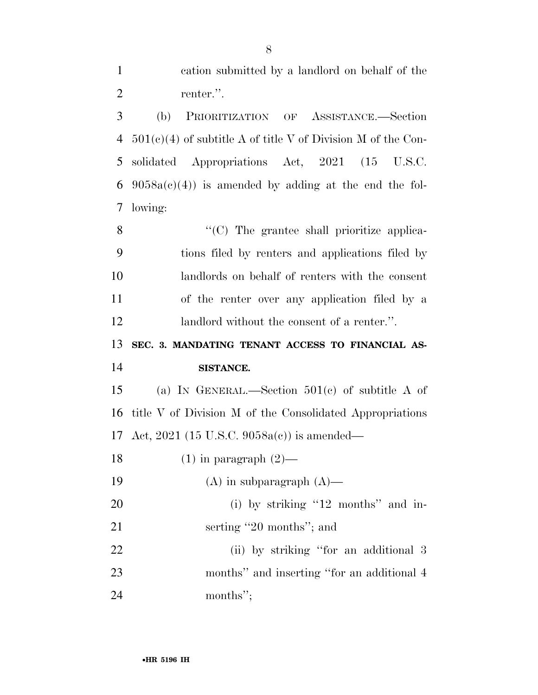| $\mathbf{1}$   | cation submitted by a landlord on behalf of the                |
|----------------|----------------------------------------------------------------|
| $\overline{2}$ | renter.".                                                      |
| 3              | (b)<br>PRIORITIZATION OF ASSISTANCE.-Section                   |
| $\overline{4}$ | $501(c)(4)$ of subtitle A of title V of Division M of the Con- |
| 5              | solidated Appropriations Act, 2021 (15 U.S.C.                  |
| 6              | $9058a(c)(4)$ is amended by adding at the end the fol-         |
| 7              | lowing:                                                        |
| 8              | "(C) The grantee shall prioritize applica-                     |
| 9              | tions filed by renters and applications filed by               |
| 10             | landlords on behalf of renters with the consent                |
| 11             | of the renter over any application filed by a                  |
| 12             | landlord without the consent of a renter.".                    |
|                |                                                                |
| 13             | SEC. 3. MANDATING TENANT ACCESS TO FINANCIAL AS-               |
| 14             | SISTANCE.                                                      |
| 15             | (a) IN GENERAL.—Section $501(c)$ of subtitle A of              |
| 16             | title V of Division M of the Consolidated Appropriations       |
| 17             | Act, 2021 (15 U.S.C. 9058a(c)) is amended—                     |
| 18             | $(1)$ in paragraph $(2)$ —                                     |
| 19             | $(A)$ in subparagraph $(A)$ —                                  |
| 20             | (i) by striking "12 months" and in-                            |
| 21             | serting "20 months"; and                                       |
| 22             | (ii) by striking "for an additional 3                          |
| 23             | months" and inserting "for an additional 4                     |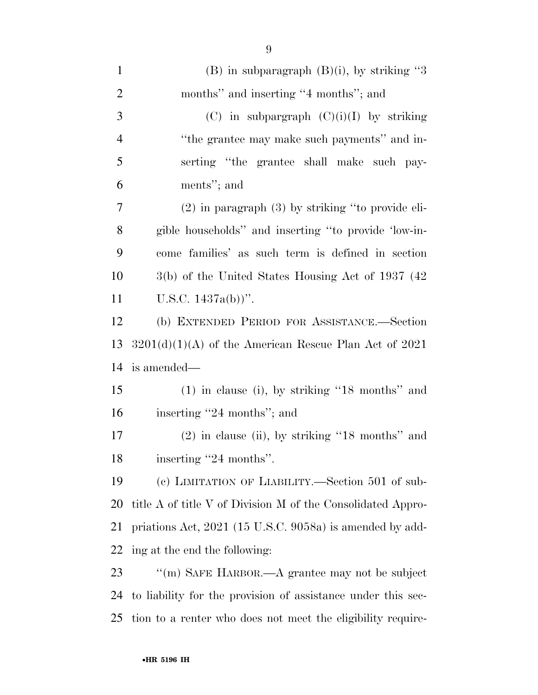| $\mathbf{1}$   | (B) in subparagraph $(B)(i)$ , by striking "3                |
|----------------|--------------------------------------------------------------|
| $\overline{2}$ | months" and inserting "4 months"; and                        |
| 3              | (C) in subpargraph $(C)(i)(I)$ by striking                   |
| $\overline{4}$ | "the grantee may make such payments" and in-                 |
| 5              | serting "the grantee shall make such pay-                    |
| 6              | ments"; and                                                  |
| $\tau$         | $(2)$ in paragraph $(3)$ by striking "to provide eli-        |
| 8              | gible households" and inserting "to provide 'low-in-         |
| 9              | come families' as such term is defined in section            |
| 10             | 3(b) of the United States Housing Act of 1937 (42)           |
| 11             | U.S.C. $1437a(b)$ .                                          |
| 12             | (b) EXTENDED PERIOD FOR ASSISTANCE.-Section                  |
| 13             | $3201(d)(1)(A)$ of the American Rescue Plan Act of 2021      |
| 14             | is amended—                                                  |
| 15             | $(1)$ in clause (i), by striking "18 months" and             |
| 16             | inserting "24 months"; and                                   |
| $17\,$         | $(2)$ in clause (ii), by striking "18 months" and            |
| 18             | inserting "24 months".                                       |
| 19             | (c) LIMITATION OF LIABILITY.—Section 501 of sub-             |
| 20             | title A of title V of Division M of the Consolidated Appro-  |
| 21             | priations Act, 2021 (15 U.S.C. 9058a) is amended by add-     |
| 22             | ing at the end the following:                                |
| 23             | "(m) SAFE HARBOR.—A grantee may not be subject               |
| 24             | to liability for the provision of assistance under this sec- |
| 25             | tion to a renter who does not meet the eligibility require-  |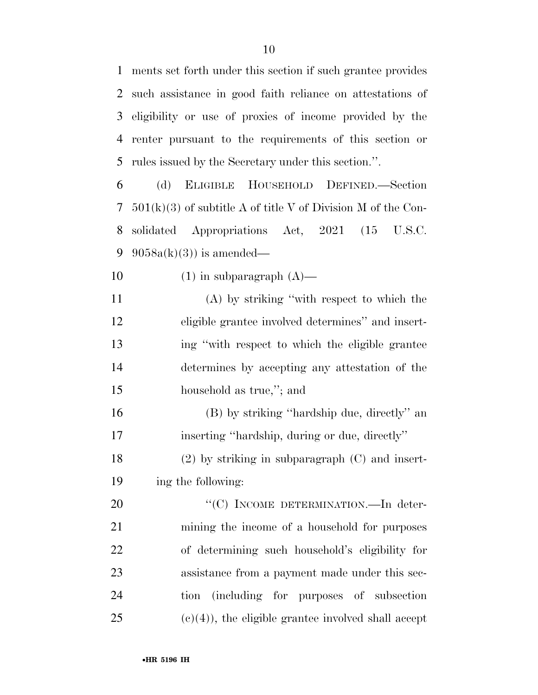ments set forth under this section if such grantee provides such assistance in good faith reliance on attestations of eligibility or use of proxies of income provided by the renter pursuant to the requirements of this section or rules issued by the Secretary under this section.''.

 (d) ELIGIBLE HOUSEHOLD DEFINED.—Section 501(k)(3) of subtitle A of title V of Division M of the Con- solidated Appropriations Act, 2021 (15 U.S.C.  $9058a(k)(3)$  is amended—

10  $(1)$  in subparagraph  $(A)$ —

 (A) by striking ''with respect to which the eligible grantee involved determines'' and insert- ing ''with respect to which the eligible grantee determines by accepting any attestation of the household as true,''; and

 (B) by striking ''hardship due, directly'' an inserting ''hardship, during or due, directly'' (2) by striking in subparagraph (C) and insert-ing the following:

20 "'(C) INCOME DETERMINATION.—In deter- mining the income of a household for purposes of determining such household's eligibility for assistance from a payment made under this sec- tion (including for purposes of subsection (c)(4)), the eligible grantee involved shall accept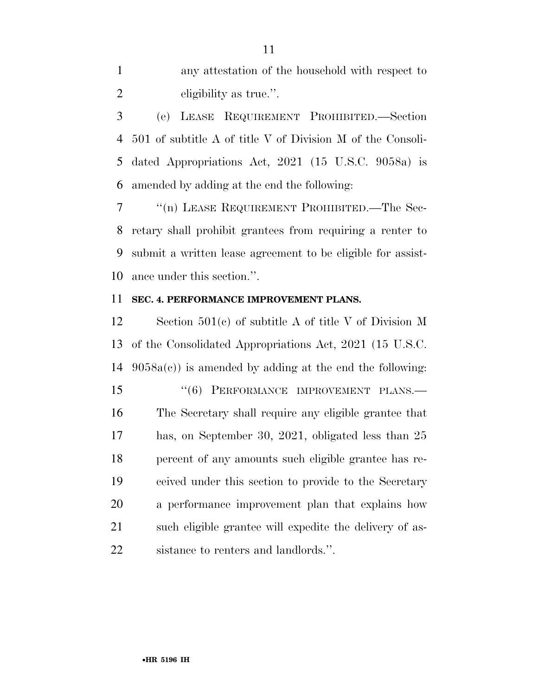any attestation of the household with respect to eligibility as true.''.

 (e) LEASE REQUIREMENT PROHIBITED.—Section 501 of subtitle A of title V of Division M of the Consoli- dated Appropriations Act, 2021 (15 U.S.C. 9058a) is amended by adding at the end the following:

7 <sup>"(n)</sup> LEASE REQUIREMENT PROHIBITED.—The Sec- retary shall prohibit grantees from requiring a renter to submit a written lease agreement to be eligible for assist-ance under this section.''.

### **SEC. 4. PERFORMANCE IMPROVEMENT PLANS.**

 Section 501(c) of subtitle A of title V of Division M of the Consolidated Appropriations Act, 2021 (15 U.S.C.  $9058a(c)$  is amended by adding at the end the following: 15 "(6) PERFORMANCE IMPROVEMENT PLANS.— The Secretary shall require any eligible grantee that has, on September 30, 2021, obligated less than 25 percent of any amounts such eligible grantee has re- ceived under this section to provide to the Secretary a performance improvement plan that explains how such eligible grantee will expedite the delivery of as-sistance to renters and landlords.''.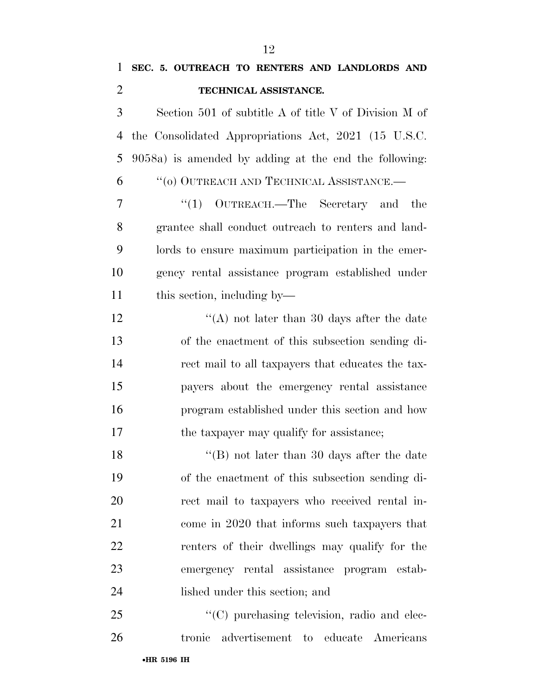| $\mathbf{1}$   | SEC. 5. OUTREACH TO RENTERS AND LANDLORDS AND         |
|----------------|-------------------------------------------------------|
| $\overline{2}$ | TECHNICAL ASSISTANCE.                                 |
| 3              | Section 501 of subtitle A of title V of Division M of |
| 4              | the Consolidated Appropriations Act, 2021 (15 U.S.C.  |
| 5              | 9058a) is amended by adding at the end the following: |
| 6              | $``(0)$ OUTREACH AND TECHNICAL ASSISTANCE.—           |
| 7              | $(1)$ OUTREACH.—The Secretary and the                 |
| 8              | grantee shall conduct outreach to renters and land-   |
| 9              | lords to ensure maximum participation in the emer-    |
| 10             | gency rental assistance program established under     |
| 11             | this section, including by—                           |
| 12             | "(A) not later than 30 days after the date            |
| 13             | of the enactment of this subsection sending di-       |
| 14             | rect mail to all taxpayers that educates the tax-     |
| 15             | payers about the emergency rental assistance          |
| 16             | program established under this section and how        |
| 17             | the taxpayer may qualify for assistance;              |
| 18             | "(B) not later than 30 days after the date            |
| 19             | of the enactment of this subsection sending di-       |
| 20             | rect mail to taxpayers who received rental in-        |
| 21             | come in 2020 that informs such taxpayers that         |
| 22             | renters of their dwellings may qualify for the        |
| 23             | emergency rental assistance program estab-            |
| 24             | lished under this section; and                        |
|                |                                                       |

25 "(C) purchasing television, radio and elec-tronic advertisement to educate Americans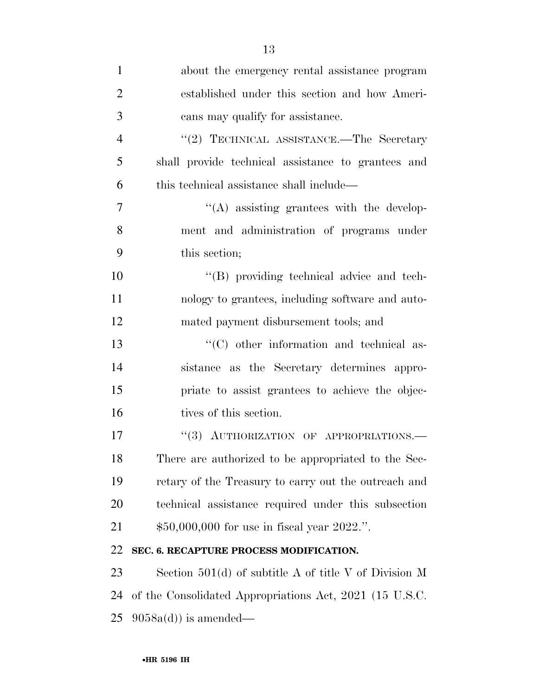| $\mathbf{1}$   | about the emergency rental assistance program           |
|----------------|---------------------------------------------------------|
| $\overline{2}$ | established under this section and how Ameri-           |
| 3              | cans may qualify for assistance.                        |
| $\overline{4}$ | "(2) TECHNICAL ASSISTANCE.—The Secretary                |
| 5              | shall provide technical assistance to grantees and      |
| 6              | this technical assistance shall include—                |
| $\overline{7}$ | $\lq\lq$ assisting grantees with the develop-           |
| 8              | ment and administration of programs under               |
| 9              | this section;                                           |
| 10             | "(B) providing technical advice and tech-               |
| 11             | nology to grantees, including software and auto-        |
| 12             | mated payment disbursement tools; and                   |
| 13             | $\cdot$ (C) other information and technical as-         |
| 14             | sistance as the Secretary determines appro-             |
| 15             | priate to assist grantees to achieve the objec-         |
| 16             | tives of this section.                                  |
| 17             | "(3) AUTHORIZATION OF APPROPRIATIONS.-                  |
| 18             | There are authorized to be appropriated to the Sec-     |
| 19             | retary of the Treasury to carry out the outreach and    |
| 20             | technical assistance required under this subsection     |
| 21             | $$50,000,000$ for use in fiscal year 2022.".            |
| 22             | SEC. 6. RECAPTURE PROCESS MODIFICATION.                 |
| 23             | Section $501(d)$ of subtitle A of title V of Division M |
| 24             | of the Consolidated Appropriations Act, 2021 (15 U.S.C. |
| 25             | $9058a(d)$ is amended—                                  |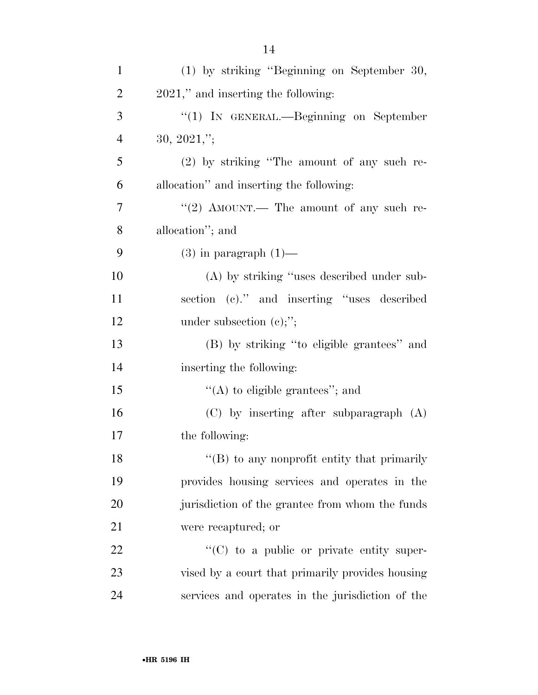| $\mathbf{1}$   | (1) by striking "Beginning on September 30,       |
|----------------|---------------------------------------------------|
| $\overline{2}$ | 2021," and inserting the following:               |
| 3              | " $(1)$ In GENERAL.—Beginning on September        |
| $\overline{4}$ | $30, 2021,$ ";                                    |
| 5              | $(2)$ by striking "The amount of any such re-     |
| 6              | allocation" and inserting the following:          |
| $\overline{7}$ | "(2) AMOUNT.— The amount of any such re-          |
| 8              | allocation"; and                                  |
| 9              | $(3)$ in paragraph $(1)$ —                        |
| 10             | (A) by striking "uses described under sub-        |
| 11             | section (c)." and inserting "uses described       |
| 12             | under subsection $(e)$ ;";                        |
| 13             | (B) by striking "to eligible grantees" and        |
| 14             | inserting the following:                          |
| 15             | $\lq\lq$ to eligible grantees"; and               |
| 16             | $(C)$ by inserting after subparagraph $(A)$       |
| 17             | the following:                                    |
| 18             | "(B) to any nonprofit entity that primarily       |
| 19             | provides housing services and operates in the     |
| 20             | jurisdiction of the grantee from whom the funds   |
| 21             | were recaptured; or                               |
| 22             | $\lq\lq$ (C) to a public or private entity super- |
| 23             | vised by a court that primarily provides housing  |
| 24             | services and operates in the jurisdiction of the  |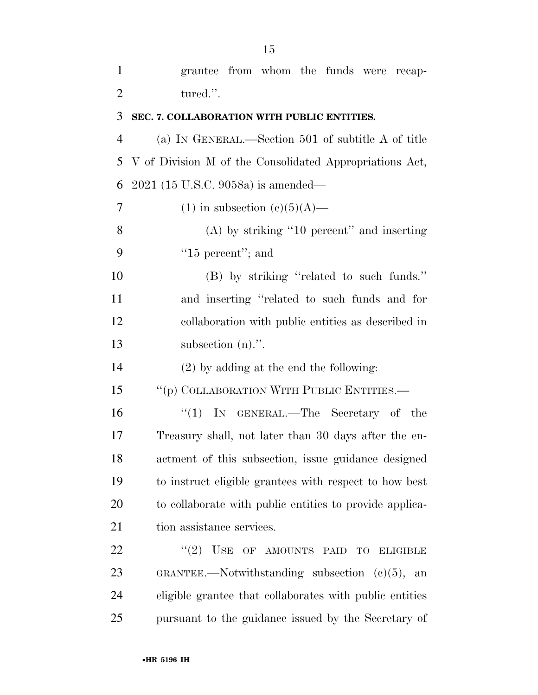| $\mathbf{1}$   | grantee from whom the funds were recap-                  |
|----------------|----------------------------------------------------------|
| $\overline{2}$ | tured.".                                                 |
| 3              | SEC. 7. COLLABORATION WITH PUBLIC ENTITIES.              |
| $\overline{4}$ | (a) IN GENERAL.—Section 501 of subtitle A of title       |
| 5              | V of Division M of the Consolidated Appropriations Act,  |
| 6              | $2021$ (15 U.S.C. 9058a) is amended—                     |
| 7              | $(1)$ in subsection $(e)(5)(A)$ —                        |
| 8              | $(A)$ by striking "10 percent" and inserting             |
| 9              | " $15$ percent"; and                                     |
| 10             | (B) by striking "related to such funds."                 |
| 11             | and inserting "related to such funds and for             |
| 12             | collaboration with public entities as described in       |
| 13             | subsection $(n)$ .".                                     |
| 14             | $(2)$ by adding at the end the following:                |
| 15             | "(p) COLLABORATION WITH PUBLIC ENTITIES.—                |
| 16             | "(1) IN GENERAL.—The Secretary of the                    |
| 17             | Treasury shall, not later than 30 days after the en-     |
| 18             | actment of this subsection, issue guidance designed      |
| 19             | to instruct eligible grantees with respect to how best   |
| 20             | to collaborate with public entities to provide applica-  |
| 21             | tion assistance services.                                |
| 22             | (2)<br>$USE$<br>OF AMOUNTS PAID<br>TO<br><b>ELIGIBLE</b> |
| 23             | GRANTEE.—Notwithstanding subsection $(c)(5)$ , an        |
| 24             | eligible grantee that collaborates with public entities  |
| 25             | pursuant to the guidance issued by the Secretary of      |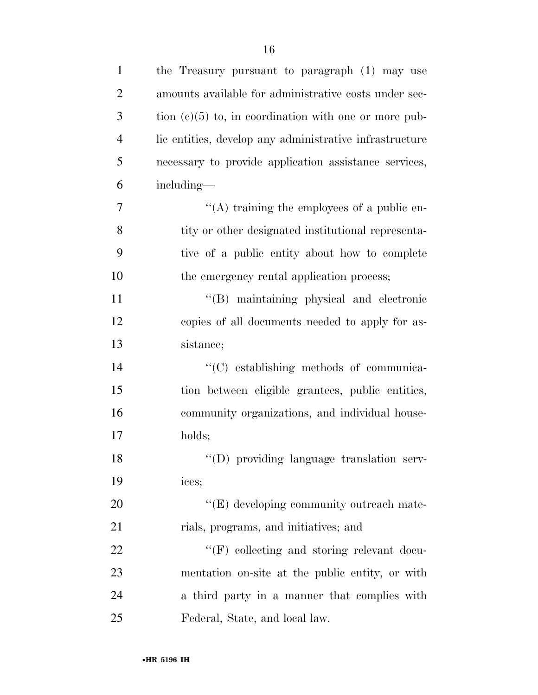| $\mathbf{1}$   | the Treasury pursuant to paragraph (1) may use          |
|----------------|---------------------------------------------------------|
| $\overline{2}$ | amounts available for administrative costs under sec-   |
| 3              | tion $(c)(5)$ to, in coordination with one or more pub- |
| $\overline{4}$ | lic entities, develop any administrative infrastructure |
| 5              | necessary to provide application assistance services,   |
| 6              | including—                                              |
| 7              | "(A) training the employees of a public en-             |
| 8              | tity or other designated institutional representa-      |
| 9              | tive of a public entity about how to complete           |
| 10             | the emergency rental application process;               |
| 11             | "(B) maintaining physical and electronic                |
| 12             | copies of all documents needed to apply for as-         |
| 13             | sistance;                                               |
| 14             | "(C) establishing methods of communica-                 |
| 15             | tion between eligible grantees, public entities,        |
| 16             | community organizations, and individual house-          |
| 17             | holds;                                                  |
| 18             | "(D) providing language translation serv-               |
| 19             | ices;                                                   |
| 20             | $\lq\lq(E)$ developing community outreach mate-         |
| 21             | rials, programs, and initiatives; and                   |
| 22             | "(F) collecting and storing relevant docu-              |
| 23             | mentation on-site at the public entity, or with         |
| 24             | a third party in a manner that complies with            |
| 25             | Federal, State, and local law.                          |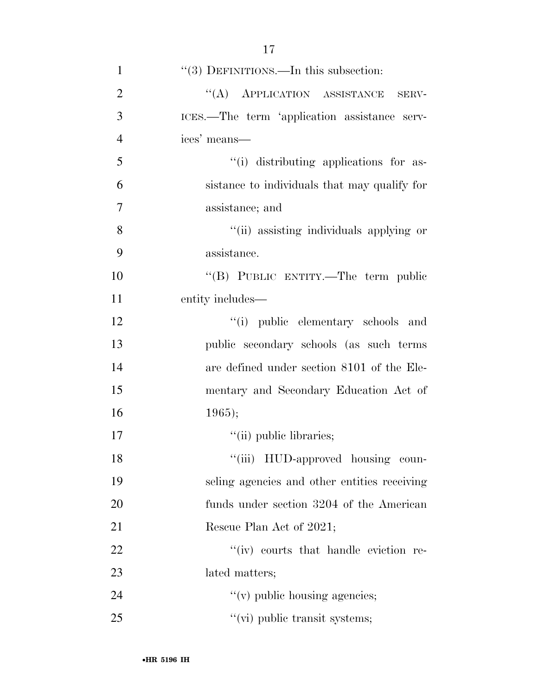|                | $(9)$ DEFINITIONS. In this subsection.       |
|----------------|----------------------------------------------|
| $\overline{2}$ | "(A) APPLICATION ASSISTANCE<br>SERV-         |
| 3              | ICES.—The term 'application assistance serv- |
| $\overline{4}$ | ices' means—                                 |
| 5              | "(i) distributing applications for as-       |
| 6              | sistance to individuals that may qualify for |
| 7              | assistance; and                              |
| 8              | "(ii) assisting individuals applying or      |
| 9              | assistance.                                  |
| 10             | "(B) PUBLIC ENTITY.—The term public          |
| 11             | entity includes—                             |
| 12             | "(i) public elementary schools and           |
| 13             | public secondary schools (as such terms      |
| 14             | are defined under section 8101 of the Ele-   |
| 15             | mentary and Secondary Education Act of       |
| 16             | 1965);                                       |
| 17             | "(ii) public libraries;                      |
| 18             | "(iii) HUD-approved housing coun-            |
| 19             | seling agencies and other entities receiving |
| 20             | funds under section 3204 of the American     |
| 21             | Rescue Plan Act of 2021;                     |
| 22             | "(iv) courts that handle eviction re-        |
| 23             | lated matters;                               |
| 24             | $f'(v)$ public housing agencies;             |
| 25             | $"$ (vi) public transit systems;             |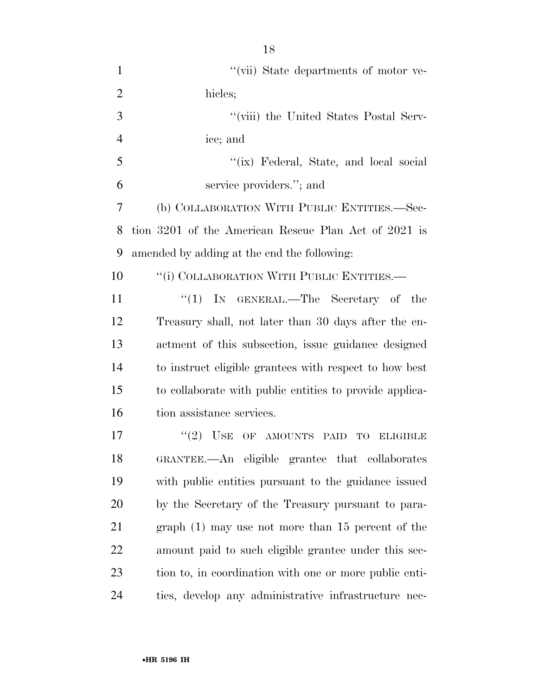| $\mathbf{1}$   | "(vii) State departments of motor ve-                   |
|----------------|---------------------------------------------------------|
| $\overline{2}$ | hicles;                                                 |
| 3              | "(viii) the United States Postal Serv-                  |
| $\overline{4}$ | ice; and                                                |
| 5              | "(ix) Federal, State, and local social                  |
| 6              | service providers."; and                                |
| 7              | (b) COLLABORATION WITH PUBLIC ENTITIES.—Sec-            |
| 8              | tion 3201 of the American Rescue Plan Act of 2021 is    |
| 9              | amended by adding at the end the following:             |
| 10             | "(i) COLLABORATION WITH PUBLIC ENTITIES.—               |
| 11             | "(1) IN GENERAL.—The Secretary of the                   |
| 12             | Treasury shall, not later than 30 days after the en-    |
| 13             | actment of this subsection, issue guidance designed     |
| 14             | to instruct eligible grantees with respect to how best  |
| 15             | to collaborate with public entities to provide applica- |
| 16             | tion assistance services.                               |
| 17             | $\lq(2)$ USE OF AMOUNTS PAID<br>TO<br><b>ELIGIBLE</b>   |
| 18             | GRANTEE.—An eligible grantee that collaborates          |
| 19             | with public entities pursuant to the guidance issued    |
| 20             | by the Secretary of the Treasury pursuant to para-      |
| 21             | $graph(1)$ may use not more than 15 percent of the      |
| 22             | amount paid to such eligible grantee under this sec-    |
| 23             | tion to, in coordination with one or more public enti-  |
| 24             | ties, develop any administrative infrastructure nec-    |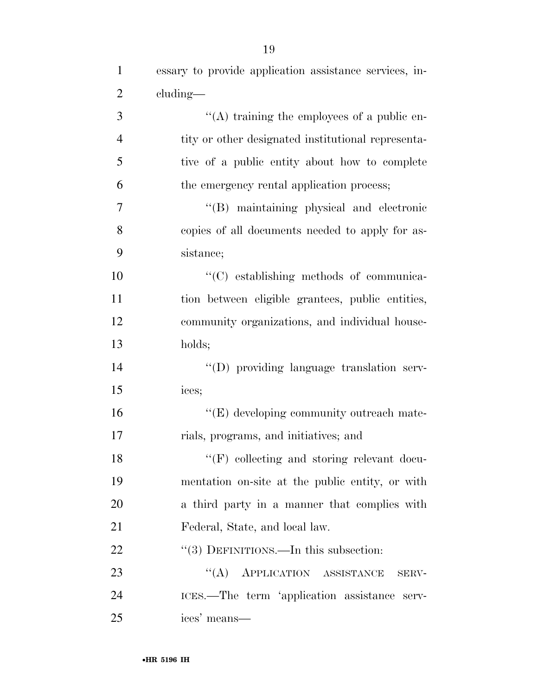| $\mathbf{1}$   | essary to provide application assistance services, in- |
|----------------|--------------------------------------------------------|
| $\overline{c}$ | cluding—                                               |
| 3              | "(A) training the employees of a public en-            |
| $\overline{4}$ | tity or other designated institutional representa-     |
| 5              | tive of a public entity about how to complete          |
| 6              | the emergency rental application process;              |
| $\overline{7}$ | "(B) maintaining physical and electronic               |
| 8              | copies of all documents needed to apply for as-        |
| 9              | sistance;                                              |
| 10             | "(C) establishing methods of communica-                |
| 11             | tion between eligible grantees, public entities,       |
| 12             | community organizations, and individual house-         |
| 13             | holds;                                                 |
| 14             | "(D) providing language translation serv-              |
| 15             | ices;                                                  |
| 16             | "(E) developing community outreach mate-               |
| 17             | rials, programs, and initiatives; and                  |
| 18             | $\lq\lq (F)$ collecting and storing relevant docu-     |
| 19             | mentation on-site at the public entity, or with        |
| 20             | a third party in a manner that complies with           |
| 21             | Federal, State, and local law.                         |
| 22             | $\cdot\cdot(3)$ DEFINITIONS.—In this subsection:       |
| 23             | "(A) APPLICATION ASSISTANCE<br>SERV-                   |
| 24             | ICES.—The term 'application assistance serv-           |
| 25             | ices' means—                                           |